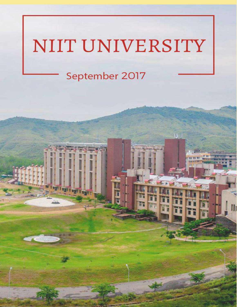# NIIT UNIVERSITY

IJ

# September 2017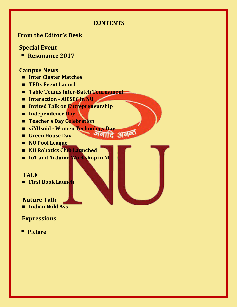# **CONTENTS**

अनाात

# **From the Editor's Desk**

# **Special Event**

▪ **Resonance 2017**

#### **Campus News**

- **Inter Cluster Matches**
- **TEDx Event Launch**
- **Table Tennis Inter-Batch Tournament**
- **Interaction - AIESEC in NU**
- Invited Talk on **Entrepreneurship**
- **Independence Day**
- **Teacher's Day Celebration**
- **siNUsoid - Women Technology Day**
- **Green House Day**
- **NU Pool League**
- **NU Robotics Club Launched**
- **IoT and Arduino Workshop in NU**

#### **TALF**

**First Book Launch** 

# **Nature Talk**

**Indian Wild Ass** 

# **Expressions**

▪ **Picture**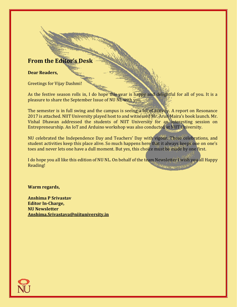# **From the Editor's Desk**

#### **Dear Readers,**

Greetings for Vijay Dashmi!

As the festive season rolls in, I do hope this year is happy and delightful for all of you. It is a pleasure to share the September Issue of NU NL with you.

The semester is in full swing and the campus is seeing a lot of activity. A report on Resonance 2017 is attached. NIIT University played host to and witnessed Mr. Arun Maira's book launch. Mr. Vishal Dhawan addressed the students of NIIT University for an interesting session on Entrepreneurship. An IoT and Arduino workshop was also conducted at NIIT University.

NU celebrated the Independence Day and Teachers' Day with vigour. These celebrations, and student activities keep this place alive. So much happens here that it always keeps one on one's toes and never lets one have a dull moment. But yes, this choice must be made by one first.

I do hope you all like this edition of NU NL. On behalf of the team Newsletter I wish you all Happy Reading! **AKTANARAGAN UNIVERSITAS** 

**Warm regards,**

**Anshima P Srivastav Editor In-Charge, NU Newsletter [Anshima.Srivastava@niituniversity.in](mailto:Anshima.Srivastava@niituniversity.in)**

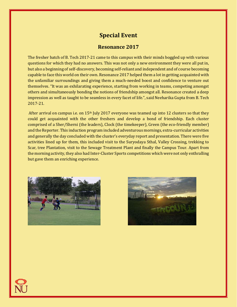# **Special Event**

#### **Resonance 2017**

The fresher batch of B. Tech 2017-21 came to this campus with their minds boggled up with various questions for which they had no answers. This was not only a new environment they were all put in, but also a beginning of self-discovery, becoming self-reliant and independent and of course becoming capable to face this world on their own. Resonance 2017 helped them a lot in getting acquainted with the unfamiliar surroundings and giving them a much-needed boost and confidence to venture out themselves. "It was an exhilarating experience, starting from working in teams, competing amongst others and simultaneously bonding the notions of friendship amongst all. Resonance created a deep impression as well as taught to be seamless in every facet of life.", said Neeharika Gupta from B. Tech 2017-21.

After arrival on campus i.e. on 15<sup>th</sup> July 2017 everyone was teamed up into 12 clusters so that they could get acquainted with the other freshers and develop a bond of friendship. Each cluster comprised of a Sher/Sherni (the leaders), Clock (the timekeeper), Green (the eco-friendly member) and the Reporter. This induction program included adventurous mornings, extra-curricular activities and generally the day concluded with the cluster's everyday report and presentation. There were five activities lined up for them, this included visit to the Suryodaya Sthal, Valley Crossing, trekking to Scar, tree Plantation, visit to the Sewage Treatment Plant and finally the Campus Tour. Apart from the morning activity, they also had Inter-Cluster Sports competitions which were not only enthralling but gave them an enriching experience.



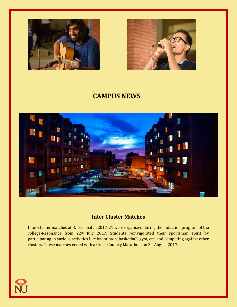



# **CAMPUS NEWS**



#### **Inter Cluster Matches**

Inter-cluster matches of B. Tech batch 2017-21 were organized during the induction program of the college-Resonance from 22nd July 2017. Students reinvigorated their sportsman spirit by participating in various activities like badminton, basketball, gym, etc. and competing against other clusters. These matches ended with a Cross Country Marathon, on 3rd August 2017.

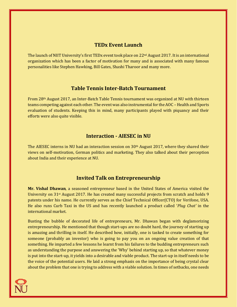#### **TEDx Event Launch**

The launch of NIIT University's first TEDx event took place on 22<sup>nd</sup> August 2017. It is an international organization which has been a factor of motivation for many and is associated with many famous personalities like Stephen Hawking, Bill Gates, Shashi Tharoor and many more.

#### **Table Tennis Inter-Batch Tournament**

From 28th August 2017, an Inter-Batch Table Tennis tournament was organized at NU with thirteen teams competing against each other. The event was also instrumental for the AOC – Health and Sports evaluation of students. Keeping this in mind, many participants played with piquancy and their efforts were also quite visible.

#### **Interaction - AIESEC in NU**

The AIESEC interns in NU had an interaction session on  $30<sup>th</sup>$  August 2017, where they shared their views on self-motivation, German politics and marketing. They also talked about their perception about India and their experience at NU.

#### **Invited Talk on Entrepreneurship**

**Mr. Vishal Dhawan**, a seasoned entrepreneur based in the United States of America visited the University on  $31$ <sup>st</sup> August 2017. He has created many successful projects from scratch and holds 9 patents under his name. He currently serves as the Chief Technical Officer(CTO) for Verifone, USA. He also runs Curb Taxi in the US and has recently launched a product called '*Plug Chat'* in the international market.

Busting the bubble of decorated life of entrepreneurs, Mr. Dhawan began with deglamorizing entrepreneurship. He mentioned that though start-ups are no doubt hard, the journey of starting up is amazing and thrilling in itself. He described how, initially, one is tasked to create something for someone (probably an investor) who is going to pay you on an ongoing value creation of that something. He imparted a few lessons he learnt from his failures to the budding entrepreneurs such as understanding the purpose and answering the 'Why' behind starting up, so that whatever money is put into the start-up, it yields into a desirable and viable product. The start-up in itself needs to be the voice of the potential users. He laid a strong emphasis on the importance of being crystal clear about the problem that one is trying to address with a viable solution. In times of setbacks, one needs

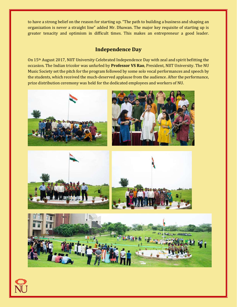to have a strong belief on the reason for starting up. "The path to building a business and shaping an organization is never a straight line" added Mr. Dhawan. The major key requisite of starting up is greater tenacity and optimism in difficult times. This makes an entrepreneur a good leader.

#### **Independence Day**

On 15th August 2017, NIIT University Celebrated Independence Day with zeal and spirit befitting the occasion. The Indian tricolor was unfurled by **Professor VS Rao**, President, NIIT University. The NU Music Society set the pitch for the program followed by some solo vocal performances and speech by the students, which received the much-deserved applause from the audience. After the performance, prize distribution ceremony was held for the dedicated employees and workers of NU.

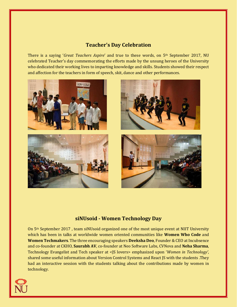#### **Teacher's Day Celebration**

There is a saying '*Great Teachers Aspire*' and true to these words, on 5th September 2017, NU celebrated Teacher's day commemorating the efforts made by the unsung heroes of the University who dedicated their working lives to imparting knowledge and skills. Students showed their respect and affection for the teachers in form of speech, skit, dance and other performances.



#### **siNUsoid - Women Technology Day**

On 5th September 2017 , team siNUsoid organized one of the most unique event at NIIT University which has been in talks at worldwide women oriented communities like **Women Who Code** and **Women Techmakers**. The three encouraging speakers **Deeksha Deo**, Founder & CEO at Incubsence and co-founder at CKHO, **Saurabh AV**, co-founder at Neo Software Labs, CVNova and **Neha Sharma**, Technology Evangelist and Tech speaker at <JS lovers> emphasized upon '*Women in Technology'*, shared some useful information about Version Control Systems and React JS with the students .They had an interactive session with the students talking about the contributions made by women in technology.

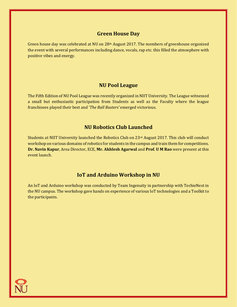#### **Green House Day**

Green house day was celebrated at NU on 28<sup>th</sup> August 2017. The members of greenhouse organized the event with several performances including dance, vocals, rap etc. this filled the atmosphere with positive vibes and energy.

#### **NU Pool League**

The Fifth Edition of NU Pool League was recently organized in NIIT University. The League witnessed a small but enthusiastic participation from Students as well as the Faculty where the league franchisees played their best and '*The Ball Busters'* emerged victorious.

#### **NU Robotics Club Launched**

Students at NIIT University launched the Robotics Club on  $23<sup>rd</sup>$  August 2017. This club will conduct workshop on various domains of robotics for students in the campus and train them for competitions. **Dr. Navin Kapur**, Area Director, ECE, **Mr. Akhlesh Agarwal** and **Prof. U M Rao** were present at this event launch.

#### **IoT and Arduino Workshop in NU**

An IoT and Arduino workshop was conducted by Team Ingenuity in partnership with TechieNest in the NU campus. The workshop gave hands on experience of various IoT technologies and a Toolkit to the participants.

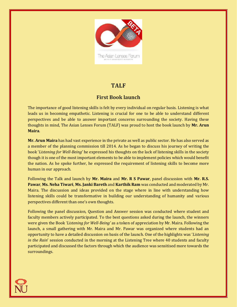

# **TALF**

## **First Book launch**

The importance of good listening skills is felt by every individual on regular basis. Listening is what leads us in becoming empathetic. Listening is crucial for one to be able to understand different perspectives and be able to answer important concerns surrounding the society. Having these thoughts in mind, The Asian Lenses Forum (TALF) was proud to host the book launch by **Mr. Arun Maira**.

**Mr. Arun Maira** has had vast experience in the private as well as public sector. He has also served as a member of the planning commission till 2014. As he began to discuss his journey of writing the book '*Listening for Well-Being*' he expressed his thoughts on the lack of listening skills in the society though it is one of the most important elements to be able to implement policies which would benefit the nation. As he spoke further, he expressed the requirement of listening skills to become more human in our approach.

Following the Talk and launch by **Mr. Maira** and **Mr. R S Pawar**, panel discussion with **Mr. R.S. Pawar**, **Ms. Neha Tiwari**, **Ms. Janki Bareth** and **Karthik Ram** was conducted and moderated by Mr. Maira. The discussion and ideas provided on the stage where in line with understanding how listening skills could be transformative in building our understanding of humanity and various perspectives different than one's own thoughts.

Following the panel discussion, Question and Answer session was conducted where student and faculty members actively participated. To the best questions asked during the launch, the winners were given the Book *'Listening for Well-Being'* as a token of appreciation by Mr. Maira. Following the launch, a small gathering with Mr. Maira and Mr. Pawar was organized where students had an opportunity to have a detailed discussion on basis of the launch. One of the highlights was '*Listening in the Rain*' session conducted in the morning at the Listening Tree where 40 students and faculty participated and discussed the factors through which the audience was sensitised more towards the surroundings.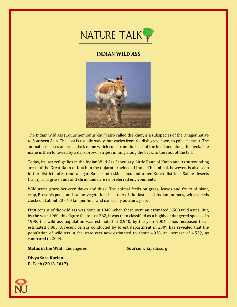

#### **INDIAN WILD ASS**



The Indian wild ass (Equus hemionus khur) also called the khur, is a subspecies of the Onager native to Southern Asia. The coat is usually sandy, but varies from reddish grey, fawn, to pale chestnut. The animal possesses an erect, dark mane which runs from the back of the head and along the neck. The mane is then followed by a dark brown stripe running along the back, to the root of the tail.

Today, its last refuge lies in the Indian Wild Ass Sanctuary, Little Rann of Kutch and its surrounding areas of the Great Rann of Kutch in the Gujarat province of India. The animal, however, is also seen in the districts of Surendranagar, Banaskantha,Mehsana, and other Kutch districts. Saline deserts (rann), arid grasslands and shrublands are its preferred environments.

Wild asses graze between dawn and dusk. The animal feeds on grass, leaves and fruits of plant, crop, Prosopis pods, and saline vegetation. It is one of the fastest of Indian animals, with speeds clocked at about 70 – 80 km per hour and can easily outrun a jeep.

First census of the wild ass was done in 1940, when there were an estimated 3,500 wild asses. But, by the year 1960, this figure fell to just 362, it was then classified as a highly endangered species. In 1998, the wild ass population was estimated at 2,940, by the year 2004 it has increased to an estimated 3,863. A recent census conducted by forest department in 2009 has revealed that the population of wild ass in the state was now estimated to about 4,038, an increase of 4.53% as compared to 2004.

**Status in the Wild:** Endangered **Source:** wikipedia.org

**Divya Sara Kurian B. Tech (2013-2017)**